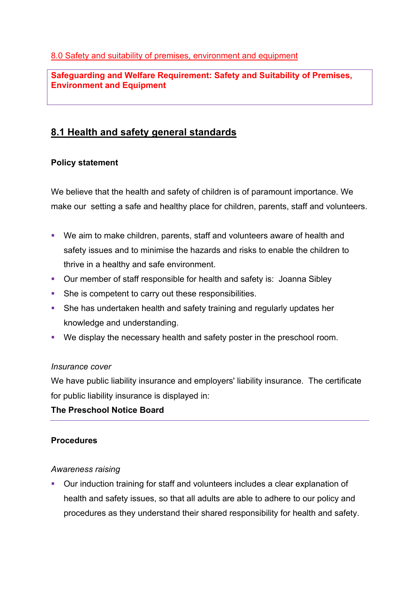**Safeguarding and Welfare Requirement: Safety and Suitability of Premises, Environment and Equipment**

# **8.1 Health and safety general standards**

# **Policy statement**

We believe that the health and safety of children is of paramount importance. We make our setting a safe and healthy place for children, parents, staff and volunteers.

- We aim to make children, parents, staff and volunteers aware of health and safety issues and to minimise the hazards and risks to enable the children to thrive in a healthy and safe environment.
- Our member of staff responsible for health and safety is: Joanna Sibley
- She is competent to carry out these responsibilities.
- She has undertaken health and safety training and regularly updates her knowledge and understanding.
- We display the necessary health and safety poster in the preschool room.

## *Insurance cover*

We have public liability insurance and employers' liability insurance. The certificate for public liability insurance is displayed in:

## **The Preschool Notice Board**

## **Procedures**

## *Awareness raising*

§ Our induction training for staff and volunteers includes a clear explanation of health and safety issues, so that all adults are able to adhere to our policy and procedures as they understand their shared responsibility for health and safety.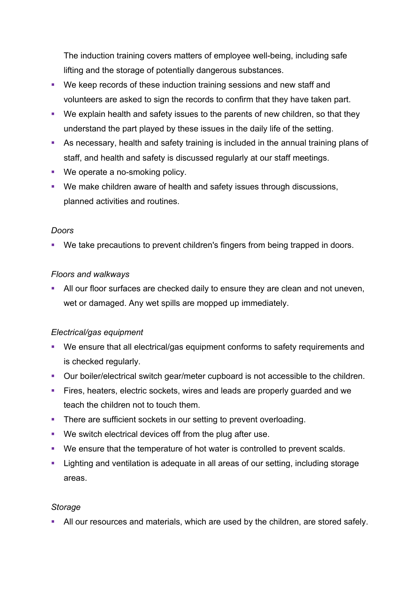The induction training covers matters of employee well-being, including safe lifting and the storage of potentially dangerous substances.

- We keep records of these induction training sessions and new staff and volunteers are asked to sign the records to confirm that they have taken part.
- We explain health and safety issues to the parents of new children, so that they understand the part played by these issues in the daily life of the setting.
- As necessary, health and safety training is included in the annual training plans of staff, and health and safety is discussed regularly at our staff meetings.
- We operate a no-smoking policy.
- We make children aware of health and safety issues through discussions, planned activities and routines.

## *Doors*

• We take precautions to prevent children's fingers from being trapped in doors.

## *Floors and walkways*

**• All our floor surfaces are checked daily to ensure they are clean and not uneven,** wet or damaged. Any wet spills are mopped up immediately.

## *Electrical/gas equipment*

- We ensure that all electrical/gas equipment conforms to safety requirements and is checked regularly.
- Our boiler/electrical switch gear/meter cupboard is not accessible to the children.
- Fires, heaters, electric sockets, wires and leads are properly guarded and we teach the children not to touch them.
- There are sufficient sockets in our setting to prevent overloading.
- We switch electrical devices off from the plug after use.
- We ensure that the temperature of hot water is controlled to prevent scalds.
- Lighting and ventilation is adequate in all areas of our setting, including storage areas.

## *Storage*

**• All our resources and materials, which are used by the children, are stored safely.**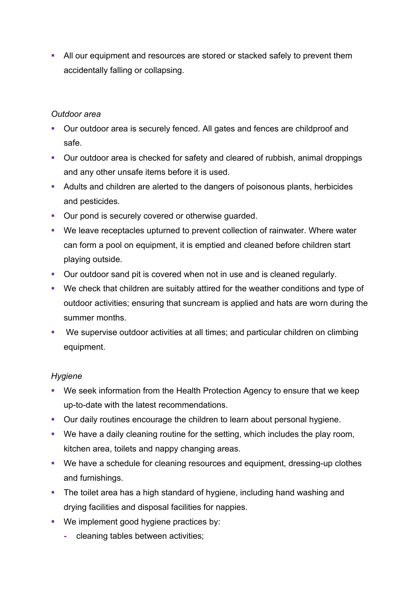• All our equipment and resources are stored or stacked safely to prevent them accidentally falling or collapsing.

#### *Outdoor area*

- Our outdoor area is securely fenced. All gates and fences are childproof and safe.
- Our outdoor area is checked for safety and cleared of rubbish, animal droppings and any other unsafe items before it is used.
- Adults and children are alerted to the dangers of poisonous plants, herbicides and pesticides.
- Our pond is securely covered or otherwise guarded.
- We leave receptacles upturned to prevent collection of rainwater. Where water can form a pool on equipment, it is emptied and cleaned before children start playing outside.
- Our outdoor sand pit is covered when not in use and is cleaned regularly.
- We check that children are suitably attired for the weather conditions and type of outdoor activities; ensuring that suncream is applied and hats are worn during the summer months.
- We supervise outdoor activities at all times; and particular children on climbing equipment.

## *Hygiene*

- We seek information from the Health Protection Agency to ensure that we keep up-to-date with the latest recommendations.
- Our daily routines encourage the children to learn about personal hygiene.
- We have a daily cleaning routine for the setting, which includes the play room, kitchen area, toilets and nappy changing areas.
- We have a schedule for cleaning resources and equipment, dressing-up clothes and furnishings.
- The toilet area has a high standard of hygiene, including hand washing and drying facilities and disposal facilities for nappies.
- We implement good hygiene practices by:
	- **-** cleaning tables between activities;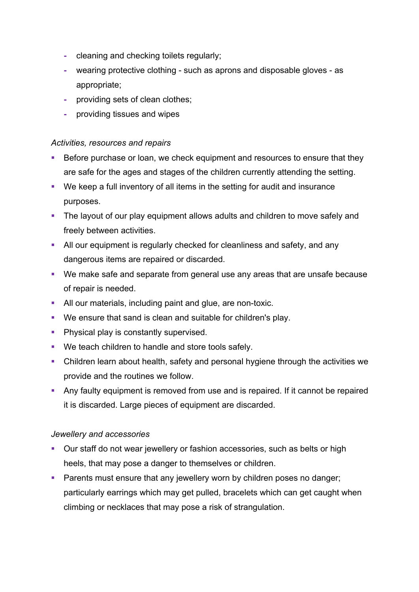- **-** cleaning and checking toilets regularly;
- **-** wearing protective clothing such as aprons and disposable gloves as appropriate;
- **-** providing sets of clean clothes;
- **-** providing tissues and wipes

#### *Activities, resources and repairs*

- Before purchase or loan, we check equipment and resources to ensure that they are safe for the ages and stages of the children currently attending the setting.
- We keep a full inventory of all items in the setting for audit and insurance purposes.
- The layout of our play equipment allows adults and children to move safely and freely between activities.
- All our equipment is regularly checked for cleanliness and safety, and any dangerous items are repaired or discarded.
- We make safe and separate from general use any areas that are unsafe because of repair is needed.
- All our materials, including paint and glue, are non-toxic.
- § We ensure that sand is clean and suitable for children's play.
- **Physical play is constantly supervised.**
- We teach children to handle and store tools safely.
- Children learn about health, safety and personal hygiene through the activities we provide and the routines we follow.
- Any faulty equipment is removed from use and is repaired. If it cannot be repaired it is discarded. Large pieces of equipment are discarded.

## *Jewellery and accessories*

- Our staff do not wear jewellery or fashion accessories, such as belts or high heels, that may pose a danger to themselves or children.
- Parents must ensure that any jewellery worn by children poses no danger; particularly earrings which may get pulled, bracelets which can get caught when climbing or necklaces that may pose a risk of strangulation.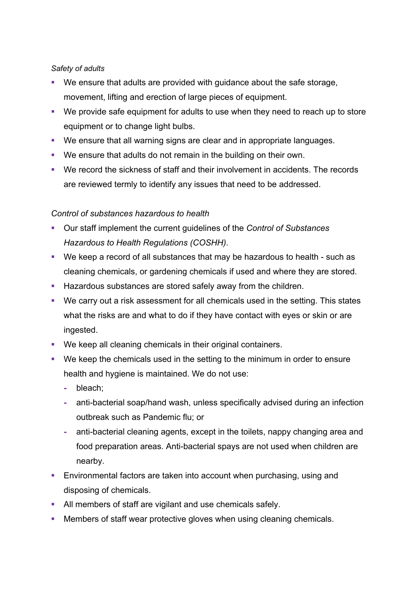#### *Safety of adults*

- We ensure that adults are provided with quidance about the safe storage, movement, lifting and erection of large pieces of equipment.
- We provide safe equipment for adults to use when they need to reach up to store equipment or to change light bulbs.
- § We ensure that all warning signs are clear and in appropriate languages.
- § We ensure that adults do not remain in the building on their own.
- § We record the sickness of staff and their involvement in accidents. The records are reviewed termly to identify any issues that need to be addressed.

## *Control of substances hazardous to health*

- § Our staff implement the current guidelines of the *Control of Substances Hazardous to Health Regulations (COSHH)*.
- We keep a record of all substances that may be hazardous to health such as cleaning chemicals, or gardening chemicals if used and where they are stored.
- **EXTERGH** Hazardous substances are stored safely away from the children.
- We carry out a risk assessment for all chemicals used in the setting. This states what the risks are and what to do if they have contact with eyes or skin or are ingested.
- We keep all cleaning chemicals in their original containers.
- We keep the chemicals used in the setting to the minimum in order to ensure health and hygiene is maintained. We do not use:
	- **-** bleach;
	- **-** anti-bacterial soap/hand wash, unless specifically advised during an infection outbreak such as Pandemic flu; or
	- **-** anti-bacterial cleaning agents, except in the toilets, nappy changing area and food preparation areas. Anti-bacterial spays are not used when children are nearby.
- Environmental factors are taken into account when purchasing, using and disposing of chemicals.
- All members of staff are vigilant and use chemicals safely.
- Members of staff wear protective gloves when using cleaning chemicals.